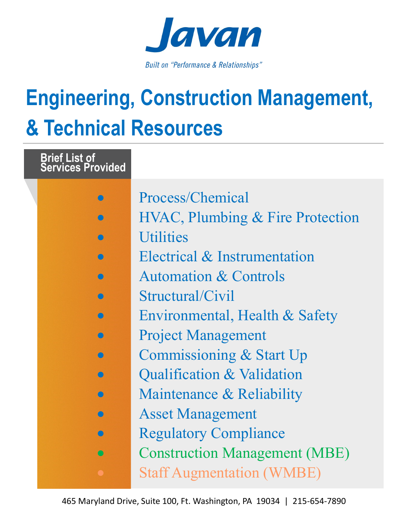

## **Engineering, Construction Management, & Technical Resources**

| <b>Brief List of<br/>Services Provided</b> |                                             |
|--------------------------------------------|---------------------------------------------|
|                                            | Process/Chemical                            |
|                                            | <b>HVAC, Plumbing &amp; Fire Protection</b> |
|                                            | <b>Utilities</b>                            |
|                                            | Electrical & Instrumentation                |
|                                            | <b>Automation &amp; Controls</b>            |
|                                            | Structural/Civil                            |
|                                            | Environmental, Health & Safety              |
|                                            | <b>Project Management</b>                   |
|                                            | Commissioning & Start Up                    |
|                                            | Qualification & Validation                  |
|                                            | Maintenance & Reliability                   |
|                                            | <b>Asset Management</b>                     |
|                                            | <b>Regulatory Compliance</b>                |
|                                            | <b>Construction Management (MBE)</b>        |
|                                            | <b>Staff Augmentation (WMBE)</b>            |
|                                            |                                             |